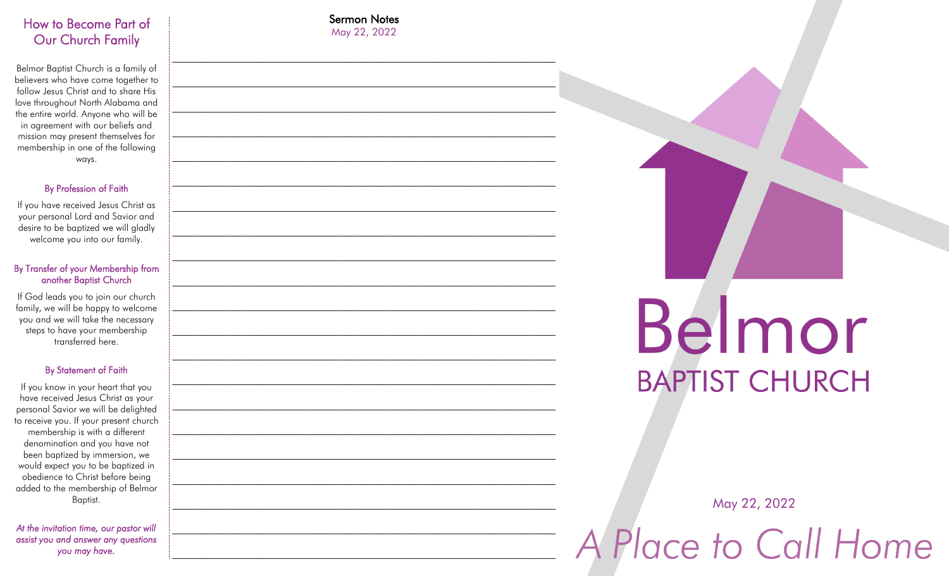## How to Become Part of Our Church Family

Belmor Baptist Church is a family of believers who have come together to follow Jesus Christ and to share His love throughout North Alabama and the entire world. Anyone who will be in agreement with our beliefs and mission may present themselves for membership in one of the following ways.

#### By Profession of Faith

If you have received Jesus Christ as your personal Lord and Savior and desire to be baptized we will gladly welcome you into our family.

#### By Transfer of your Membership from another Baptist Church

If God leads you to join our church family, we will be happy to welcome you and we will take the necessary steps to have your membership transferred here.

#### By Statement of Faith

If you know in your heart that you have received Jesus Christ as your personal Savior we will be delighted to receive you. If your present church membership is with a different denomination and you have not been baptized by immersion, we would expect you to be baptized in obedience to Christ before being added to the membership of Belmor Baptist.

*At the invitation time, our pastor will assist you and answer any questions you may have.* 

Sermon Notes May 22, 2022

 $\mathcal{L}_\text{max} = \frac{1}{2} \sum_{i=1}^n \mathcal{L}_\text{max}(\mathbf{x}_i - \mathbf{y}_i)$ 

 $\mathcal{L}_\text{max} = \frac{1}{2} \sum_{i=1}^n \mathcal{L}_\text{max}(\mathbf{x}_i - \mathbf{y}_i)$ 

 $\mathcal{L}_\text{max} = \frac{1}{2} \sum_{i=1}^n \mathcal{L}_\text{max}(\mathbf{x}_i - \mathbf{y}_i)$ 

\_\_\_\_\_\_\_\_\_\_\_\_\_\_\_\_\_\_\_\_\_\_\_\_\_\_\_\_\_\_\_\_\_\_\_\_\_\_\_\_\_\_\_\_\_\_\_\_\_\_\_\_\_\_\_\_\_\_\_\_\_\_\_\_\_\_\_\_\_\_\_\_\_\_

 $\mathcal{L}_\text{max} = \frac{1}{2} \sum_{i=1}^n \mathcal{L}_\text{max}(\mathbf{x}_i - \mathbf{y}_i)$ 

\_\_\_\_\_\_\_\_\_\_\_\_\_\_\_\_\_\_\_\_\_\_\_\_\_\_\_\_\_\_\_\_\_\_\_\_\_\_\_\_\_\_\_\_\_\_\_\_\_\_\_\_\_\_\_\_\_\_\_\_\_\_\_\_\_\_\_\_\_\_\_\_\_\_

 $\mathcal{L}_\text{max} = \frac{1}{2} \sum_{i=1}^n \mathcal{L}_\text{max}(\mathbf{x}_i - \mathbf{y}_i)$ 

\_\_\_\_\_\_\_\_\_\_\_\_\_\_\_\_\_\_\_\_\_\_\_\_\_\_\_\_\_\_\_\_\_\_\_\_\_\_\_\_\_\_\_\_\_\_\_\_\_\_\_\_\_\_\_\_\_\_\_\_\_\_\_\_\_\_\_\_\_\_\_\_\_\_

 $\mathcal{L}_\text{max} = \frac{1}{2} \sum_{i=1}^n \mathcal{L}_\text{max}(\mathbf{x}_i - \mathbf{y}_i)$ 

 $\mathcal{L}_\text{max} = \frac{1}{2} \sum_{i=1}^n \mathcal{L}_\text{max}(\mathbf{x}_i - \mathbf{y}_i)$ 

\_\_\_\_\_\_\_\_\_\_\_\_\_\_\_\_\_\_\_\_\_\_\_\_\_\_\_\_\_\_\_\_\_\_\_\_\_\_\_\_\_\_\_\_\_\_\_\_\_\_\_\_\_\_\_\_\_\_\_\_\_\_\_\_\_\_\_\_\_\_\_\_\_\_

 $\mathcal{L}_\text{max} = \frac{1}{2} \sum_{i=1}^n \mathcal{L}_\text{max}(\mathbf{x}_i - \mathbf{y}_i)$ 

 $\mathcal{L}_\text{max} = \frac{1}{2} \sum_{i=1}^n \mathcal{L}_\text{max}(\mathbf{x}_i - \mathbf{y}_i)$ 

 $\mathcal{L}_\text{max} = \frac{1}{2} \sum_{i=1}^n \mathcal{L}_\text{max}(\mathbf{x}_i - \mathbf{y}_i)$ 

 $\mathcal{L}_\text{max} = \frac{1}{2} \sum_{i=1}^n \mathcal{L}_\text{max}(\mathbf{x}_i - \mathbf{y}_i)$ 

 $\mathcal{L}_\text{max} = \frac{1}{2} \sum_{i=1}^n \mathcal{L}_\text{max}(\mathbf{x}_i - \mathbf{y}_i)$ 

\_\_\_\_\_\_\_\_\_\_\_\_\_\_\_\_\_\_\_\_\_\_\_\_\_\_\_\_\_\_\_\_\_\_\_\_\_\_\_\_\_\_\_\_\_\_\_\_\_\_\_\_\_\_\_\_\_\_\_\_\_\_\_\_\_\_\_\_\_\_\_\_\_\_

\_\_\_\_\_\_\_\_\_\_\_\_\_\_\_\_\_\_\_\_\_\_\_\_\_\_\_\_\_\_\_\_\_\_\_\_\_\_\_\_\_\_\_\_\_\_\_\_\_\_\_\_\_\_\_\_\_\_\_\_\_\_\_\_\_\_\_\_\_\_\_\_\_\_

 $\mathcal{L}_\text{max} = \frac{1}{2} \sum_{i=1}^n \mathcal{L}_\text{max}(\mathbf{x}_i - \mathbf{y}_i)$ 

\_\_\_\_\_\_\_\_\_\_\_\_\_\_\_\_\_\_\_\_\_\_\_\_\_\_\_\_\_\_\_\_\_\_\_\_\_\_\_\_\_\_\_\_\_\_\_\_\_\_\_\_\_\_\_\_\_\_\_\_\_\_\_\_\_\_\_\_\_\_\_\_\_\_

# Belmor **BAPTIST CHURCH**

May 22, 2022

A Place to Call Home